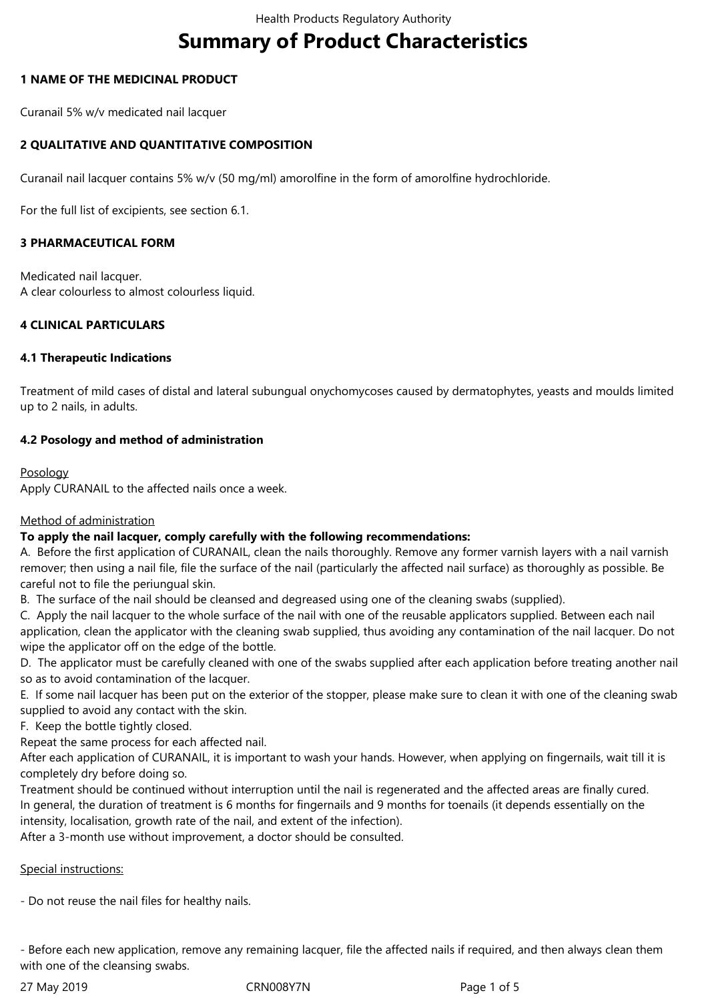# **Summary of Product Characteristics**

# **1 NAME OF THE MEDICINAL PRODUCT**

Curanail 5% w/v medicated nail lacquer

# **2 QUALITATIVE AND QUANTITATIVE COMPOSITION**

Curanail nail lacquer contains 5% w/v (50 mg/ml) amorolfine in the form of amorolfine hydrochloride.

For the full list of excipients, see section 6.1.

## **3 PHARMACEUTICAL FORM**

Medicated nail lacquer. A clear colourless to almost colourless liquid.

# **4 CLINICAL PARTICULARS**

## **4.1 Therapeutic Indications**

Treatment of mild cases of distal and lateral subungual onychomycoses caused by dermatophytes, yeasts and moulds limited up to 2 nails, in adults.

# **4.2 Posology and method of administration**

## Posology

Apply CURANAIL to the affected nails once a week.

# Method of administration

# **To apply the nail lacquer, comply carefully with the following recommendations:**

A. Before the first application of CURANAIL, clean the nails thoroughly. Remove any former varnish layers with a nail varnish remover; then using a nail file, file the surface of the nail (particularly the affected nail surface) as thoroughly as possible. Be careful not to file the periungual skin.

B. The surface of the nail should be cleansed and degreased using one of the cleaning swabs (supplied).

C. Apply the nail lacquer to the whole surface of the nail with one of the reusable applicators supplied. Between each nail application, clean the applicator with the cleaning swab supplied, thus avoiding any contamination of the nail lacquer. Do not wipe the applicator off on the edge of the bottle.

D. The applicator must be carefully cleaned with one of the swabs supplied after each application before treating another nail so as to avoid contamination of the lacquer.

E. If some nail lacquer has been put on the exterior of the stopper, please make sure to clean it with one of the cleaning swab supplied to avoid any contact with the skin.

F. Keep the bottle tightly closed.

Repeat the same process for each affected nail.

After each application of CURANAIL, it is important to wash your hands. However, when applying on fingernails, wait till it is completely dry before doing so.

Treatment should be continued without interruption until the nail is regenerated and the affected areas are finally cured. In general, the duration of treatment is 6 months for fingernails and 9 months for toenails (it depends essentially on the intensity, localisation, growth rate of the nail, and extent of the infection).

After a 3-month use without improvement, a doctor should be consulted.

# Special instructions:

- Do not reuse the nail files for healthy nails.

- Before each new application, remove any remaining lacquer, file the affected nails if required, and then always clean them with one of the cleansing swabs.

27May2019 CRN008Y7N Page1of5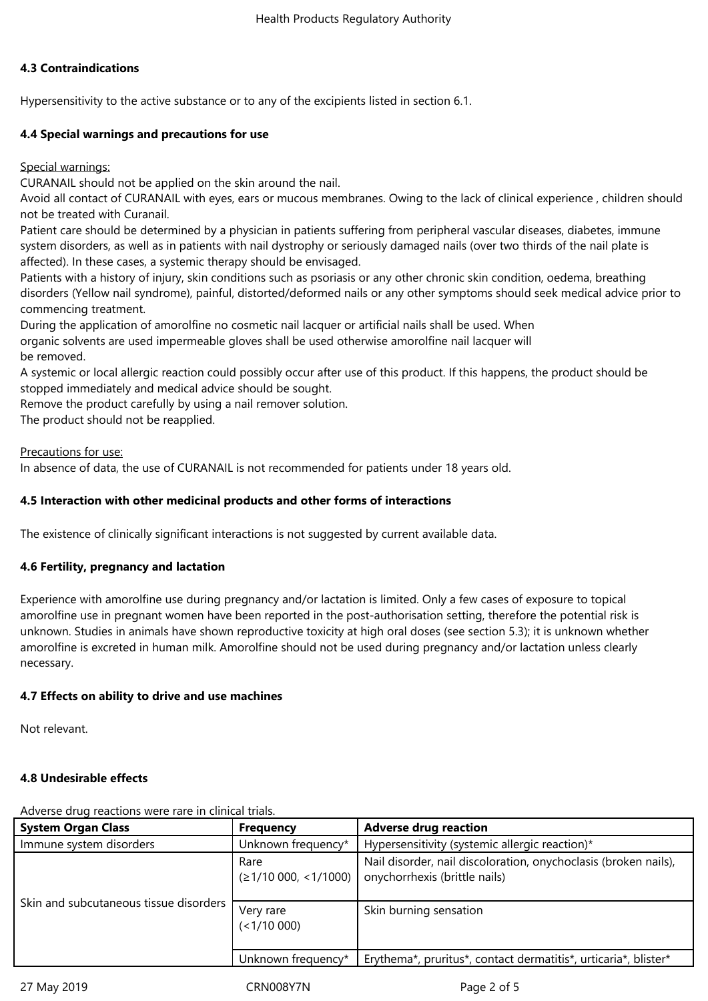## **4.3 Contraindications**

Hypersensitivity to the active substance or to any of the excipients listed in section 6.1.

## **4.4 Special warnings and precautions for use**

Special warnings:

CURANAIL should not be applied on the skin around the nail.

Avoid all contact of CURANAIL with eyes, ears or mucous membranes. Owing to the lack of clinical experience, children should not be treated with Curanail.

Patient care should be determined by a physician in patients suffering from peripheral vascular diseases, diabetes, immune system disorders, as well as in patients with nail dystrophy or seriously damaged nails (over two thirds of the nail plate is affected). In these cases, a systemic therapy should be envisaged.

Patients with a history of injury, skin conditions such as psoriasis or any other chronic skin condition, oedema, breathing disorders (Yellow nail syndrome), painful, distorted/deformed nails or any other symptoms should seek medical advice prior to commencing treatment.

During the application of amorolfine no cosmetic nail lacquer or artificial nails shall be used. When organic solvents are used impermeable gloves shall be used otherwise amorolfine nail lacquer will be removed.

A systemic or local allergic reaction could possibly occur after use of this product. If this happens, the product should be stopped immediately and medical advice should be sought.

Remove the product carefully by using a nail remover solution.

The product should not be reapplied.

## Precautions for use:

In absence of data, the use of CURANAIL is not recommended for patients under 18 years old.

## **4.5 Interaction with other medicinal products and other forms of interactions**

The existence of clinically significant interactions is not suggested by current available data.

## **4.6 Fertility, pregnancy and lactation**

Experience with amorolfine use during pregnancy and/or lactation is limited. Only a few cases of exposure to topical amorolfine use in pregnant women have been reported in the post-authorisation setting, therefore the potential risk is unknown. Studies in animals have shown reproductive toxicity at high oral doses (see section 5.3); it is unknown whether amorolfine is excreted in human milk. Amorolfine should not be used during pregnancy and/or lactation unless clearly necessary.

## **4.7 Effects on ability to drive and use machines**

Not relevant.

## **4.8 Undesirable effects**

**System Organ Class Frequency Adverse drug reaction** Immune system disorders **Interpretent Clubscon** | Unknown frequency<sup>\*</sup> | Hypersensitivity (systemic allergic reaction)<sup>\*</sup> Skin and subcutaneous tissue disorders Rare  $(≥1/10000, ≤1/1000)$ Nail disorder, nail discoloration, onychoclasis (broken nails), onychorrhexis (brittle nails) Very rare  $(<1/10000)$ Skin burning sensation Unknown frequency\*  $\parallel$  Erythema\*, pruritus\*, contact dermatitis\*, urticaria\*, blister\*

Adverse drug reactions were rare in clinical trials.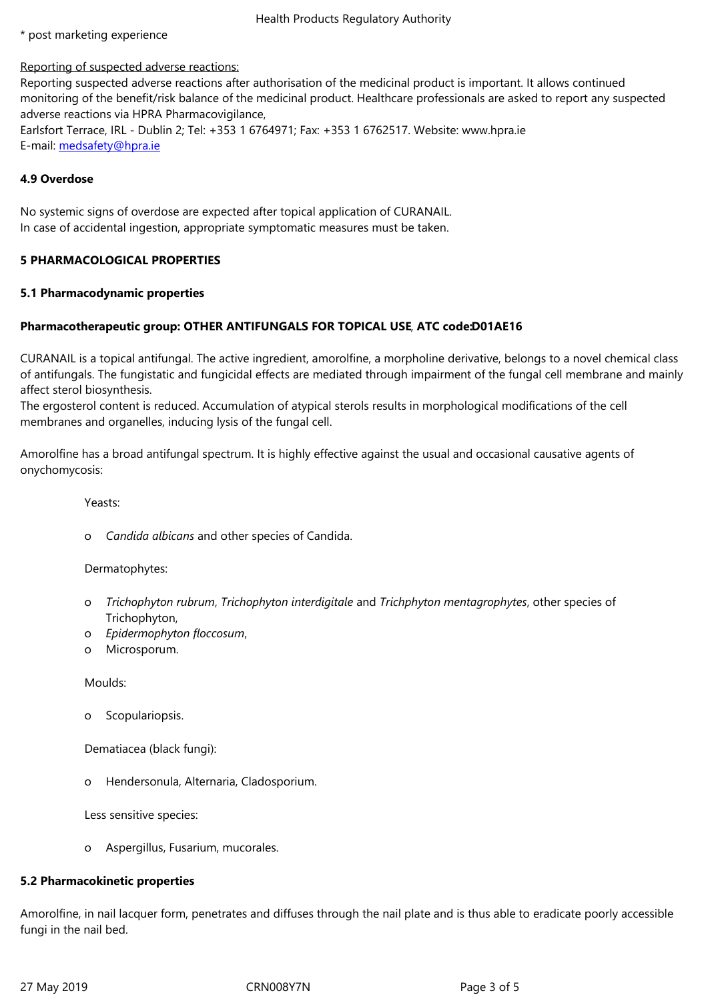#### Reporting of suspected adverse reactions:

Reporting suspected adverse reactions after authorisation of the medicinal product is important. It allows continued monitoring of the benefit/risk balance of the medicinal product. Healthcare professionals are asked to report any suspected adverse reactions via HPRA Pharmacovigilance,

Earlsfort Terrace, IRL - Dublin 2; Tel: +353 1 6764971; Fax: +353 1 6762517. Website: www.hpra.ie E-mail: medsafety@hpra.ie

# **4.9 Overdose**

No systemic signs of overdose are expected after topical application of CURANAIL. In case of accidental ingestion, appropriate symptomatic measures must be taken.

# **5 PHARMACOLOGICAL PROPERTIES**

## **5.1 Pharmacodynamic properties**

# **Pharmacotherapeutic group: OTHER ANTIFUNGALS FOR TOPICAL USE**,**ATC code:D01AE16**

CURANAIL is a topical antifungal. The active ingredient, amorolfine, a morpholine derivative, belongs to a novel chemical class of antifungals. The fungistatic and fungicidal effects are mediated through impairment of the fungal cell membrane and mainly affect sterol biosynthesis.

The ergosterol content is reduced. Accumulation of atypical sterols results in morphological modifications of the cell membranes and organelles, inducing lysis of the fungal cell.

Amorolfine has a broad antifungal spectrum. It is highly effective against the usual and occasional causative agents of onychomycosis:

Yeasts:

o *Candida albicans*andotherspeciesofCandida.

## Dermatophytes:

- o *Trichophyton rubrum*,*Trichophyton interdigitale*and*Trichphyton mentagrophytes*,otherspeciesof Trichophyton,
- o *Epidermophyton floccosum*,
- o Microsporum.

Moulds:

o Scopulariopsis.

Dematiacea (black fungi):

o Hendersonula, Alternaria, Cladosporium.

Less sensitive species:

o Aspergillus, Fusarium, mucorales.

# **5.2 Pharmacokinetic properties**

Amorolfine, in nail lacquer form, penetrates and diffuses through the nail plate and is thus able to eradicate poorly accessible fungi in the nail bed.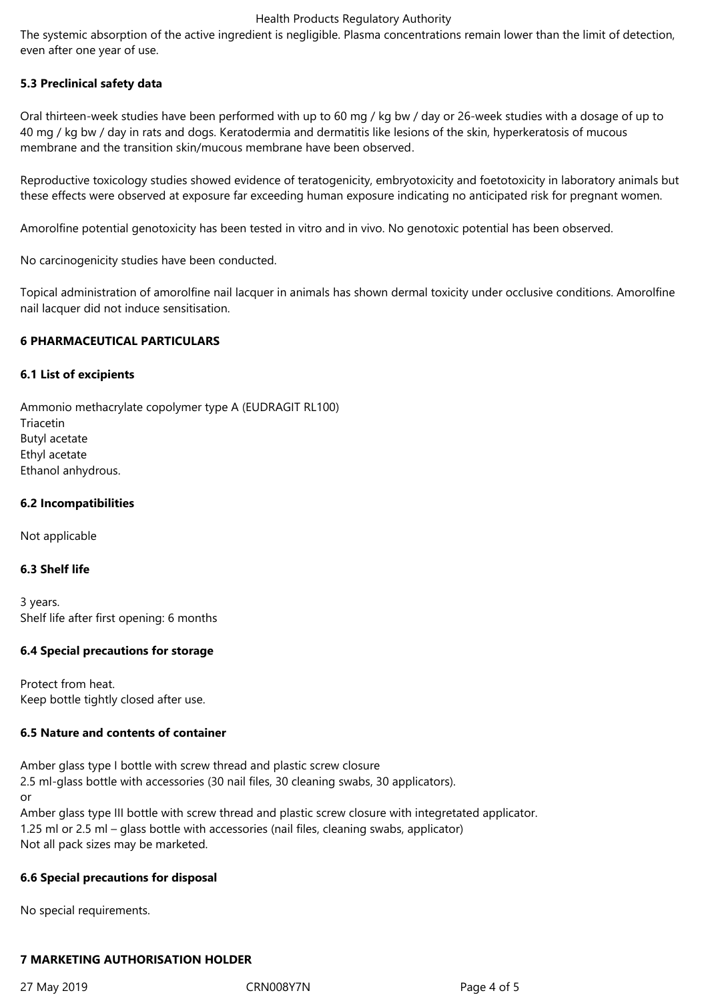#### Health Products Regulatory Authority

The systemic absorption of the active ingredient is negligible. Plasma concentrations remain lower than the limit of detection, even after one year of use.

## **5.3 Preclinical safety data**

Oral thirteen-week studies have been performed with up to 60 mg / kg bw / day or 26-week studies with a dosage of up to 40 mg / kg bw / day in rats and dogs. Keratodermia and dermatitis like lesions of the skin, hyperkeratosis of mucous membrane and the transition skin/mucous membrane have been observed.

Reproductive toxicology studies showed evidence of teratogenicity, embryotoxicity and foetotoxicity in laboratory animals but these effects were observed at exposure far exceeding human exposure indicating no anticipated risk for pregnant women.

Amorolfine potential genotoxicity has been tested in vitro and in vivo. No genotoxic potential has been observed.

No carcinogenicity studies have been conducted.

Topical administration of amorolfine nail lacquer in animals has shown dermal toxicity under occlusive conditions. Amorolfine nail lacquer did not induce sensitisation.

#### **6 PHARMACEUTICAL PARTICULARS**

#### **6.1 List of excipients**

Ammonio methacrylate copolymer type A (EUDRAGIT RL100) Triacetin **Butyl** acetate Ethyl acetate Ethanol anhydrous.

#### **6.2 Incompatibilities**

Not applicable

# **6.3 Shelf life**

3years. Shelf life after first opening: 6 months

## **6.4 Special precautions for storage**

Protect from heat. Keep bottle tightly closed after use.

## **6.5 Nature and contents of container**

Amber glass type I bottle with screw thread and plastic screw closure 2.5 ml-glass bottle with accessories (30 nail files, 30 cleaning swabs, 30 applicators). or Amber glass type III bottle with screw thread and plastic screw closure with integretated applicator.

1.25 ml or 2.5 ml – glass bottle with accessories (nail files, cleaning swabs, applicator) Not all pack sizes may be marketed.

#### **6.6 Special precautions for disposal**

No special requirements.

## **7 MARKETING AUTHORISATION HOLDER**

27 May 2019 **CRNOOSY7N** CRNOOSY7N Page 4 of 5